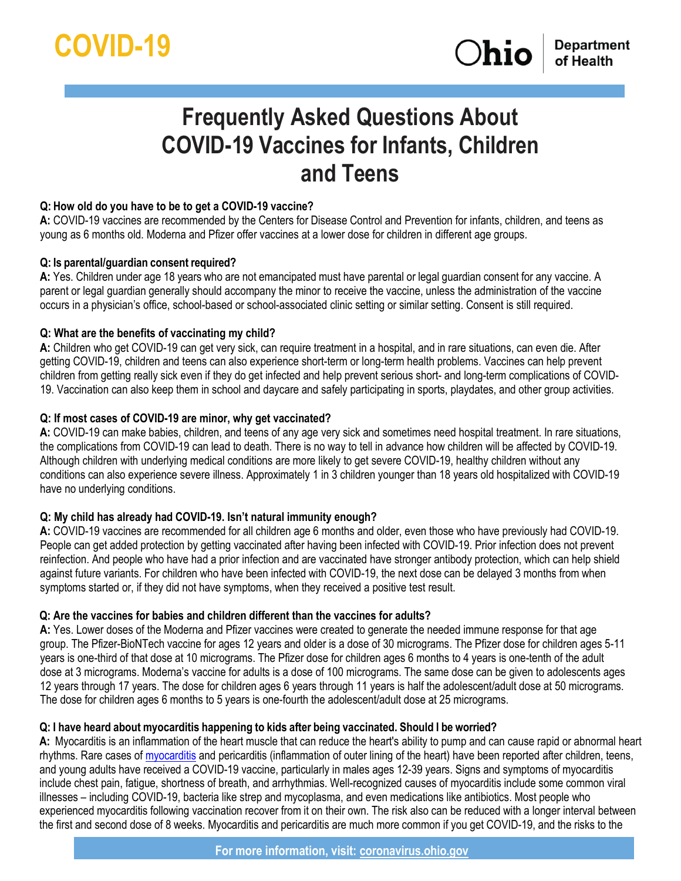# **Frequently Asked Questions About COVID-19 Vaccines for Infants, Children and Teens**

# **Q: How old do you have to be to get a COVID-19 vaccine?**

**A:** COVID-19 vaccines are recommended by the Centers for Disease Control and Prevention for infants, children, and teens as young as 6 months old. Moderna and Pfizer offer vaccines at a lower dose for children in different age groups.

# **Q: Is parental/guardian consent required?**

**A:** Yes. Children under age 18 years who are not emancipated must have parental or legal guardian consent for any vaccine. A parent or legal guardian generally should accompany the minor to receive the vaccine, unless the administration of the vaccine occurs in a physician's office, school-based or school-associated clinic setting or similar setting. Consent is still required.

# **Q: What are the benefits of vaccinating my child?**

**A:** Children who get COVID-19 can get very sick, can require treatment in a hospital, and in rare situations, can even die. After getting COVID-19, children and teens can also experience short-term or long-term health problems. Vaccines can help prevent children from getting really sick even if they do get infected and help prevent serious short- and long-term complications of COVID-19. Vaccination can also keep them in school and daycare and safely participating in sports, playdates, and other group activities.

# **Q: If most cases of COVID-19 are minor, why get vaccinated?**

**A:** COVID-19 can make babies, children, and teens of any age very sick and sometimes need hospital treatment. In rare situations, the complications from COVID-19 can lead to death. There is no way to tell in advance how children will be affected by COVID-19. Although children with underlying medical conditions are more likely to get severe COVID-19, healthy children without any conditions can also experience severe illness. Approximately 1 in 3 children younger than 18 years old hospitalized with COVID-19 have no underlying conditions.

# **Q: My child has already had COVID-19. Isn't natural immunity enough?**

**A:** COVID-19 vaccines are recommended for all children age 6 months and older, even those who have previously had COVID-19. People can get added protection by getting vaccinated after having been infected with COVID-19. Prior infection does not prevent reinfection. And people who have had a prior infection and are vaccinated have stronger antibody protection, which can help shield against future variants. For children who have been infected with COVID-19, the next dose can be delayed 3 months from when symptoms started or, if they did not have symptoms, when they received a positive test result.

# **Q: Are the vaccines for babies and children different than the vaccines for adults?**

**A:** Yes. Lower doses of the Moderna and Pfizer vaccines were created to generate the needed immune response for that age group. The Pfizer-BioNTech vaccine for ages 12 years and older is a dose of 30 micrograms. The Pfizer dose for children ages 5-11 years is one-third of that dose at 10 micrograms. The Pfizer dose for children ages 6 months to 4 years is one-tenth of the adult dose at 3 micrograms. Moderna's vaccine for adults is a dose of 100 micrograms. The same dose can be given to adolescents ages 12 years through 17 years. The dose for children ages 6 years through 11 years is half the adolescent/adult dose at 50 micrograms. The dose for children ages 6 months to 5 years is one-fourth the adolescent/adult dose at 25 micrograms.

# **Q: I have heard about myocarditis happening to kids after being vaccinated. Should I be worried?**

**A:** Myocarditis is an inflammation of the heart muscle that can reduce the heart's ability to pump and can cause rapid or abnormal heart rhythms. Rare cases of [myocarditis](https://www.cdc.gov/coronavirus/2019-ncov/vaccines/safety/myocarditis.html) and pericarditis (inflammation of outer lining of the heart) have been reported after children, teens, and young adults have received a COVID-19 vaccine, particularly in males ages 12-39 years. Signs and symptoms of myocarditis include chest pain, fatigue, shortness of breath, and arrhythmias. Well-recognized causes of myocarditis include some common viral illnesses – including COVID-19, bacteria like strep and mycoplasma, and even medications like antibiotics. Most people who experienced myocarditis following vaccination recover from it on their own. The risk also can be reduced with a longer interval between the first and second dose of 8 weeks. Myocarditis and pericarditis are much more common if you get COVID-19, and the risks to the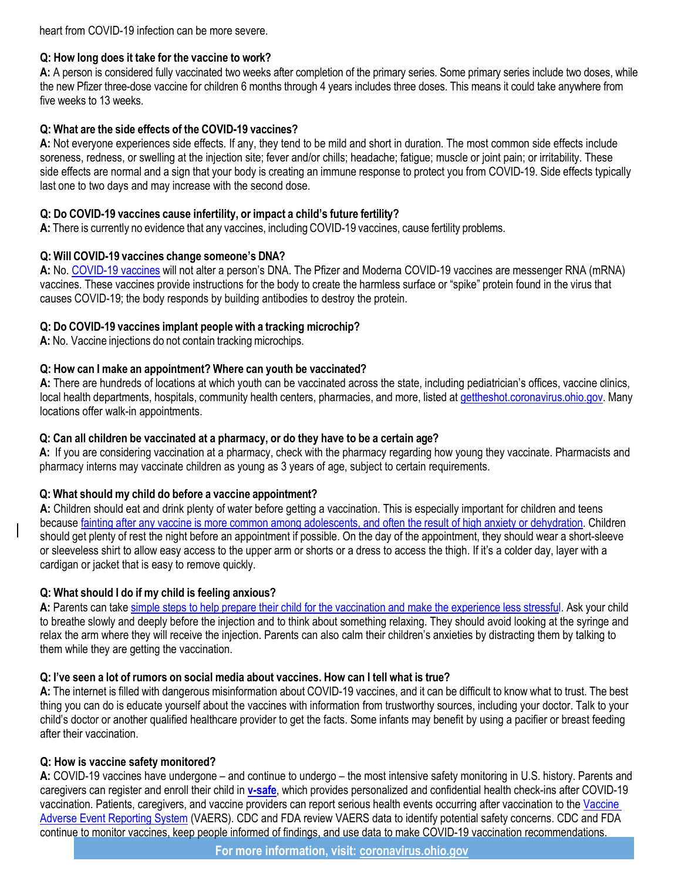heart from COVID-19 infection can be more severe.

# **Q: How long does it take for the vaccine to work?**

**A:** A person is considered fully vaccinated two weeks after completion of the primary series. Some primary series include two doses, while the new Pfizer three-dose vaccine for children 6 months through 4 years includes three doses. This means it could take anywhere from five weeks to 13 weeks.

## **Q: What are the side effects of the COVID-19 vaccines?**

**A:** Not everyone experiences side effects. If any, they tend to be mild and short in duration. The most common side effects include soreness, redness, or swelling at the injection site; fever and/or chills; headache; fatigue; muscle or joint pain; or irritability. These side effects are normal and a sign that your body is creating an immune response to protect you from COVID-19. Side effects typically last one to two days and may increase with the second dose.

### **Q: Do COVID-19 vaccines cause infertility, or impact a child's future fertility?**

**A:** There is currently no evidence that any vaccines, including COVID-19 vaccines, cause fertility problems.

#### **Q: Will COVID-19 vaccines change someone's DNA?**

**A:** No[. COVID-19 vaccines](https://coronavirus.ohio.gov/static/vaccine/covid-19-how-vaccines-work.pdf) will not alter a person's DNA. The Pfizer and Moderna COVID-19 vaccines are messenger RNA (mRNA) vaccines. These vaccines provide instructions for the body to create the harmless surface or "spike" protein found in the virus that causes COVID-19; the body responds by building antibodies to destroy the protein.

#### **Q: Do COVID-19 vaccines implant people with a tracking microchip?**

**A:** No. Vaccine injections do not contain tracking microchips.

#### **Q: How can I make an appointment? Where can youth be vaccinated?**

**A:** There are hundreds of locations at which youth can be vaccinated across the state, including pediatrician's offices, vaccine clinics, local health departments, hospitals, community health centers, pharmacies, and more, listed at [gettheshot.coronavirus.ohio.gov. M](https://gcc02.safelinks.protection.outlook.com/?url=http%3A%2F%2Fgettheshot.coronavirus.ohio.gov%2F&data=04%7C01%7CDan.McCarthy%40governor.ohio.gov%7C6db90e3e45ba41b398ab08d914aeea2d%7C50f8fcc494d84f0784eb36ed57c7c8a2%7C0%7C0%7C637563563802814816%7CUnknown%7CTWFpbGZsb3d8eyJWIjoiMC4wLjAwMDAiLCJQIjoiV2luMzIiLCJBTiI6Ik1haWwiLCJXVCI6Mn0%3D%7C1000&sdata=TRNuwQNlnQUlTIKsmU0of6saeXj8g2SW1jCuy7S9kFU%3D&reserved=0)any locations offer walk-in appointments.

#### **Q: Can all children be vaccinated at a pharmacy, or do they have to be a certain age?**

**A:** If you are considering vaccination at a pharmacy, check with the pharmacy regarding how young they vaccinate. Pharmacists and pharmacy interns may vaccinate children as young as 3 years of age, subject to certain requirements.

# **Q: What should my child do before a vaccine appointment?**

**A:** Children should eat and drink plenty of water before getting a vaccination. This is especially important for children and teens because fainting after any vaccine is more common [among adolescents,](https://www.cdc.gov/vaccines/parents/by-age/years-13-18.html) and often the result of high anxiety or dehydration. Children should get plenty of rest the night before an appointment if possible. On the day of the appointment, they should wear a short-sleeve or sleeveless shirt to allow easy access to the upper arm or shorts or a dress to access the thigh. If it's a colder day, layer with a cardigan or jacket that is easy to remove quickly.

# **Q: What should I do if my child is feeling anxious?**

**A:** Parents can take simple [steps to help](https://www.cdc.gov/vaccines/parents/visit/less-stressful.html) prepare their child [for the vaccination](https://www.cdc.gov/vaccines/parents/visit/less-stressful.html) and make the experience less stressful. Ask your child to breathe slowly and deeply before the injection and to think about something relaxing. They should avoid looking at the syringe and relax the arm where they will receive the injection. Parents can also calm their children's anxieties by distracting them by talking to them while they are getting the vaccination.

#### **Q: I've seen a lot of rumors on social media about vaccines. How can I tell what is true?**

**A:** The internet is filled with dangerous misinformation about COVID-19 vaccines, and it can be difficult to know what to trust. The best thing you can do is educate yourself about the vaccines with information from trustworthy sources, including your doctor. Talk to your child's doctor or another qualified healthcare provider to get the facts. Some infants may benefit by using a pacifier or breast feeding after their vaccination.

#### **Q: How is vaccine safety monitored?**

**A:** COVID-19 vaccines have undergone – and continue to undergo – the most intensive safety monitoring in U.S. history. Parents and caregivers can register and enroll their child in **[v-safe](https://www.cdc.gov/coronavirus/2019-ncov/vaccines/safety/vsafe.html)**, which provides personalized and confidential health check-ins after COVID-19 vaccination. Patients, caregivers, and vaccine providers can report serious health events occurring after vaccination to the Vaccine [Adverse Event Reporting System](https://www.cdc.gov/coronavirus/2019-ncov/vaccines/safety/vaers.html) (VAERS). CDC and FDA review VAERS data to identify potential safety concerns. CDC and FDA continue to monitor vaccines, keep people informed of findings, and use data to make COVID-19 vaccination recommendations.